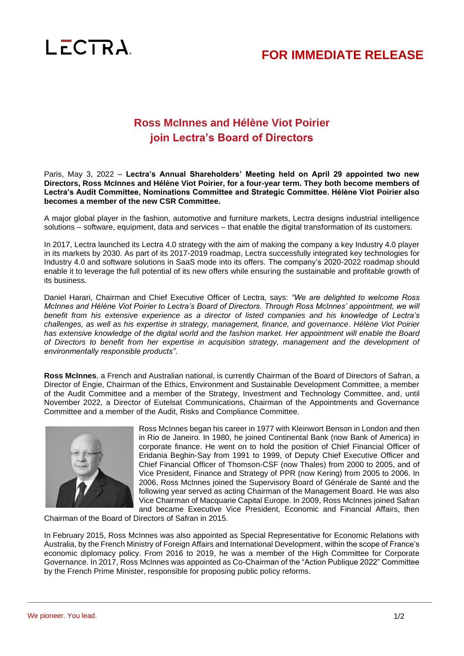

## **FOR IMMEDIATE RELEASE**

## **Ross McInnes and Hélène Viot Poirier join Lectra's Board of Directors**

Paris, May 3, 2022 – **Lectra's Annual Shareholders' Meeting held on April 29 appointed two new Directors, Ross McInnes and Hélène Viot Poirier, for a four-year term. They both become members of Lectra's Audit Committee, Nominations Committee and Strategic Committee. Hélène Viot Poirier also becomes a member of the new CSR Committee.**

A major global player in the fashion, automotive and furniture markets, Lectra designs industrial intelligence solutions – software, equipment, data and services – that enable the digital transformation of its customers.

In 2017, Lectra launched its Lectra 4.0 strategy with the aim of making the company a key Industry 4.0 player in its markets by 2030. As part of its 2017-2019 roadmap, Lectra successfully integrated key technologies for Industry 4.0 and software solutions in SaaS mode into its offers. The company's 2020-2022 roadmap should enable it to leverage the full potential of its new offers while ensuring the sustainable and profitable growth of its business.

Daniel Harari, Chairman and Chief Executive Officer of Lectra, says: *"We are delighted to welcome Ross McInnes and Hélène Viot Poirier to Lectra's Board of Directors. Through Ross McInnes' appointment, we will benefit from his extensive experience as a director of listed companies and his knowledge of Lectra's challenges, as well as his expertise in strategy, management, finance, and governance. Hélène Viot Poirier has extensive knowledge of the digital world and the fashion market. Her appointment will enable the Board of Directors to benefit from her expertise in acquisition strategy, management and the development of environmentally responsible products"*.

**Ross McInnes**, a French and Australian national, is currently Chairman of the Board of Directors of Safran, a Director of Engie, Chairman of the Ethics, Environment and Sustainable Development Committee, a member of the Audit Committee and a member of the Strategy, Investment and Technology Committee, and, until November 2022, a Director of Eutelsat Communications, Chairman of the Appointments and Governance Committee and a member of the Audit, Risks and Compliance Committee.



Ross McInnes began his career in 1977 with Kleinwort Benson in London and then in Rio de Janeiro. In 1980, he joined Continental Bank (now Bank of America) in corporate finance. He went on to hold the position of Chief Financial Officer of Eridania Beghin-Say from 1991 to 1999, of Deputy Chief Executive Officer and Chief Financial Officer of Thomson-CSF (now Thales) from 2000 to 2005, and of Vice President, Finance and Strategy of PPR (now Kering) from 2005 to 2006. In 2006, Ross McInnes joined the Supervisory Board of Générale de Santé and the following year served as acting Chairman of the Management Board. He was also Vice Chairman of Macquarie Capital Europe. In 2009, Ross McInnes joined Safran and became Executive Vice President, Economic and Financial Affairs, then

Chairman of the Board of Directors of Safran in 2015.

In February 2015, Ross McInnes was also appointed as Special Representative for Economic Relations with Australia, by the French Ministry of Foreign Affairs and International Development, within the scope of France's economic diplomacy policy. From 2016 to 2019, he was a member of the High Committee for Corporate Governance. In 2017, Ross McInnes was appointed as Co-Chairman of the "Action Publique 2022" Committee by the French Prime Minister, responsible for proposing public policy reforms.